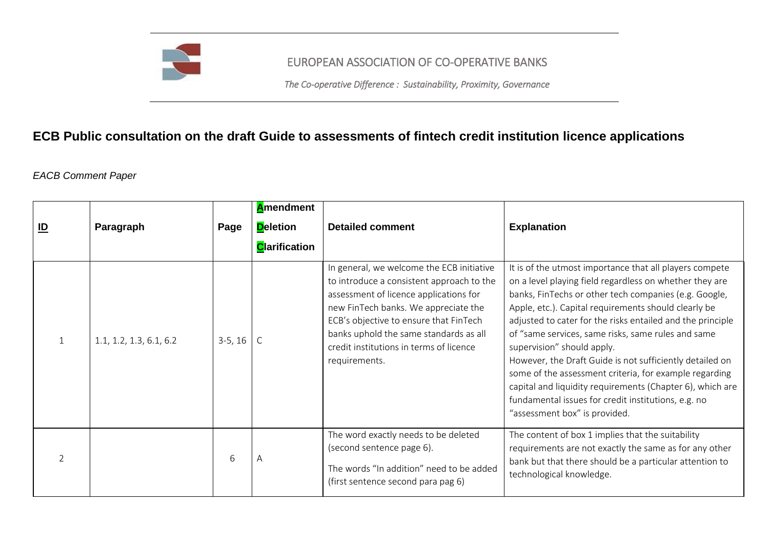

## EUROPEAN ASSOCIATION OF CO-OPERATIVE BANKS

*The Co-operative Difference : Sustainability, Proximity, Governance* 

## **ECB Public consultation on the draft Guide to assessments of fintech credit institution licence applications**

*EACB Comment Paper* 

| $\underline{\mathsf{ID}}$ | Paragraph               | Page      | <b>A</b> mendment<br><b>Deletion</b><br><b>C</b> larification | <b>Detailed comment</b>                                                                                                                                                                                                                                                                                                  | <b>Explanation</b>                                                                                                                                                                                                                                                                                                                                                                                                                                                                                                                                                                                                                                               |
|---------------------------|-------------------------|-----------|---------------------------------------------------------------|--------------------------------------------------------------------------------------------------------------------------------------------------------------------------------------------------------------------------------------------------------------------------------------------------------------------------|------------------------------------------------------------------------------------------------------------------------------------------------------------------------------------------------------------------------------------------------------------------------------------------------------------------------------------------------------------------------------------------------------------------------------------------------------------------------------------------------------------------------------------------------------------------------------------------------------------------------------------------------------------------|
|                           | 1.1, 1.2, 1.3, 6.1, 6.2 | $3-5, 16$ |                                                               | In general, we welcome the ECB initiative<br>to introduce a consistent approach to the<br>assessment of licence applications for<br>new FinTech banks. We appreciate the<br>ECB's objective to ensure that FinTech<br>banks uphold the same standards as all<br>credit institutions in terms of licence<br>requirements. | It is of the utmost importance that all players compete<br>on a level playing field regardless on whether they are<br>banks, FinTechs or other tech companies (e.g. Google,<br>Apple, etc.). Capital requirements should clearly be<br>adjusted to cater for the risks entailed and the principle<br>of "same services, same risks, same rules and same<br>supervision" should apply.<br>However, the Draft Guide is not sufficiently detailed on<br>some of the assessment criteria, for example regarding<br>capital and liquidity requirements (Chapter 6), which are<br>fundamental issues for credit institutions, e.g. no<br>"assessment box" is provided. |
| $\mathcal{P}$             |                         | 6         | А                                                             | The word exactly needs to be deleted<br>(second sentence page 6).<br>The words "In addition" need to be added<br>(first sentence second para pag 6)                                                                                                                                                                      | The content of box 1 implies that the suitability<br>requirements are not exactly the same as for any other<br>bank but that there should be a particular attention to<br>technological knowledge.                                                                                                                                                                                                                                                                                                                                                                                                                                                               |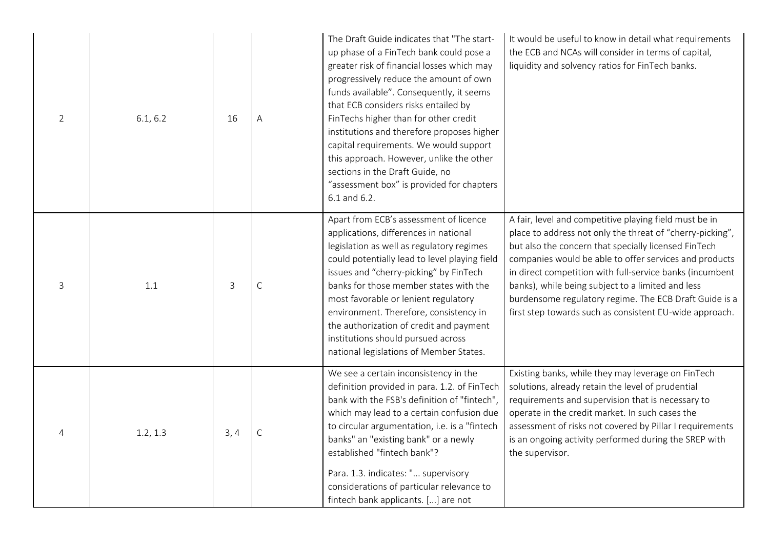| $\overline{2}$ | 6.1, 6.2 | 16   | Α           | The Draft Guide indicates that "The start-<br>up phase of a FinTech bank could pose a<br>greater risk of financial losses which may<br>progressively reduce the amount of own<br>funds available". Consequently, it seems<br>that ECB considers risks entailed by<br>FinTechs higher than for other credit<br>institutions and therefore proposes higher<br>capital requirements. We would support<br>this approach. However, unlike the other<br>sections in the Draft Guide, no<br>"assessment box" is provided for chapters<br>6.1 and 6.2. | It would be useful to know in detail what requirements<br>the ECB and NCAs will consider in terms of capital,<br>liquidity and solvency ratios for FinTech banks.                                                                                                                                                                                                                                                                                                           |
|----------------|----------|------|-------------|------------------------------------------------------------------------------------------------------------------------------------------------------------------------------------------------------------------------------------------------------------------------------------------------------------------------------------------------------------------------------------------------------------------------------------------------------------------------------------------------------------------------------------------------|-----------------------------------------------------------------------------------------------------------------------------------------------------------------------------------------------------------------------------------------------------------------------------------------------------------------------------------------------------------------------------------------------------------------------------------------------------------------------------|
| 3              | 1.1      | 3    | $\mathsf C$ | Apart from ECB's assessment of licence<br>applications, differences in national<br>legislation as well as regulatory regimes<br>could potentially lead to level playing field<br>issues and "cherry-picking" by FinTech<br>banks for those member states with the<br>most favorable or lenient regulatory<br>environment. Therefore, consistency in<br>the authorization of credit and payment<br>institutions should pursued across<br>national legislations of Member States.                                                                | A fair, level and competitive playing field must be in<br>place to address not only the threat of "cherry-picking",<br>but also the concern that specially licensed FinTech<br>companies would be able to offer services and products<br>in direct competition with full-service banks (incumbent<br>banks), while being subject to a limited and less<br>burdensome regulatory regime. The ECB Draft Guide is a<br>first step towards such as consistent EU-wide approach. |
| $\overline{4}$ | 1.2, 1.3 | 3, 4 | C           | We see a certain inconsistency in the<br>definition provided in para. 1.2. of FinTech<br>bank with the FSB's definition of "fintech",<br>which may lead to a certain confusion due<br>to circular argumentation, i.e. is a "fintech<br>banks" an "existing bank" or a newly<br>established "fintech bank"?<br>Para. 1.3. indicates: " supervisory<br>considerations of particular relevance to<br>fintech bank applicants. [] are not                                                                                                          | Existing banks, while they may leverage on FinTech<br>solutions, already retain the level of prudential<br>requirements and supervision that is necessary to<br>operate in the credit market. In such cases the<br>assessment of risks not covered by Pillar I requirements<br>is an ongoing activity performed during the SREP with<br>the supervisor.                                                                                                                     |